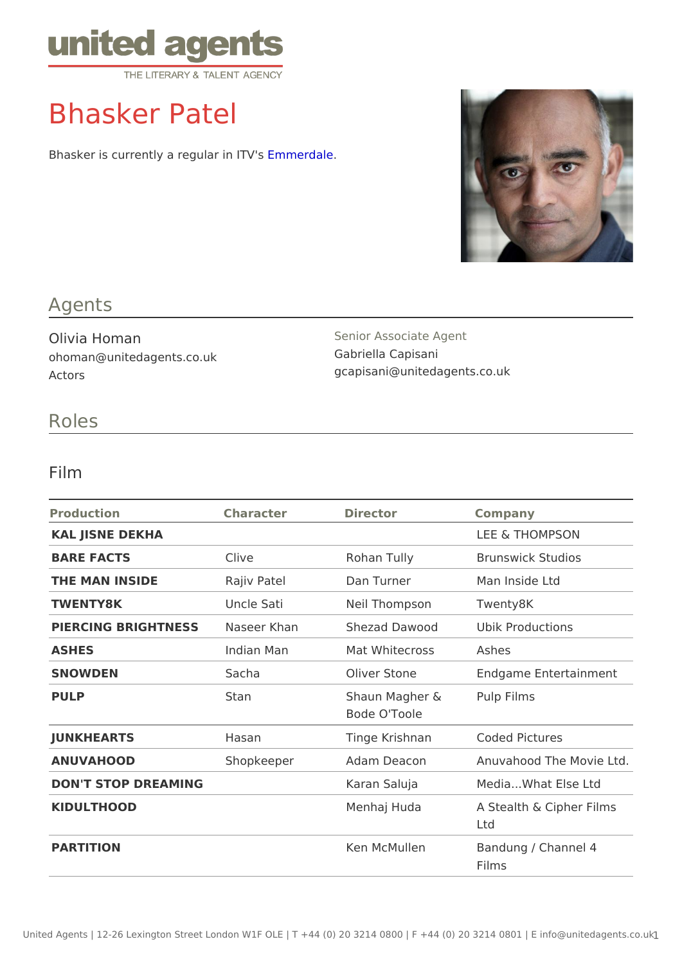# Bhasker Patel

Bhasker is currently a regull armier d'alves

## Agents

Olivia Homan ohoman@unitedagents.co.uk Actors

Senior Associate Agent Gabriella Capisani gcapisani@unitedagents.co.uk

### Roles

#### Film

| Production                     | Character   | Director                                  | Company                            |
|--------------------------------|-------------|-------------------------------------------|------------------------------------|
| KAL JISNE DEKHA                |             |                                           | LEE & THOMPSON                     |
| BARE FACTS                     | Clive       | Rohan Tully                               | Brunswick Studios                  |
| THE MAN INSIDE                 | Rajiv Patel | Dan Turner                                | Man Inside Ltd                     |
| TWENTY8K                       | Uncle Sati  | Neil Thompson Twenty8K                    |                                    |
| PIERCING BRIGHTNE SS Seer Khan |             |                                           | Shezad Dawood Ubik Productions     |
| <b>ASHES</b>                   | Indian Man  | Mat Whitecross Ashes                      |                                    |
| SNOWDEN                        | Sacha       |                                           | Oliver Stone Endgame Entertainment |
| PULP                           | Stan        | Shaun Magher & Pulp Films<br>Bode O'Toole |                                    |
| <b>JUNKHEARTS</b>              | Hasan       |                                           | Tinge Krishnan Coded Pictures      |
| ANUVAHOOD                      | Shopkeeper  | Adam Deacon                               | Anuvahood The Movie Ltd            |
| DON'T STOP DREAMING            |             | Karan Saluja                              | Media What Else Ltd                |
| KIDULTHOOD                     |             | Menhaj Huda                               | A Stealth & Cipher Films<br>Ltd    |
| PARTITION                      |             | Ken McMullen                              | Bandung / Channel 4<br>Films       |
|                                |             |                                           |                                    |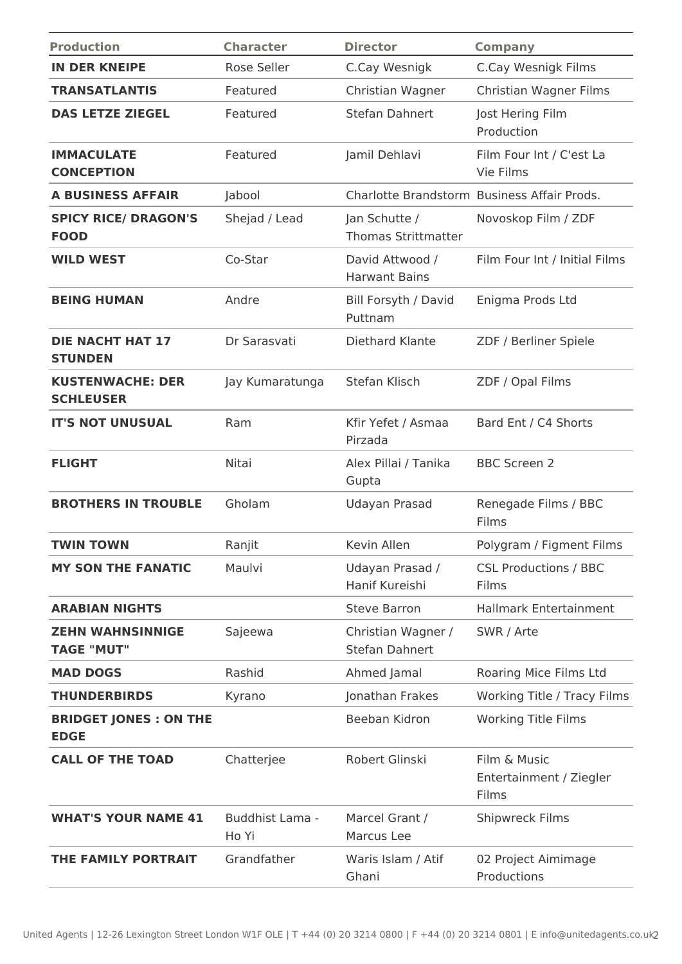| <b>Production</b>                            | <b>Character</b>         | <b>Director</b>                             | <b>Company</b>                                   |
|----------------------------------------------|--------------------------|---------------------------------------------|--------------------------------------------------|
| <b>IN DER KNEIPE</b>                         | Rose Seller              | C.Cay Wesnigk                               | C.Cay Wesnigk Films                              |
| <b>TRANSATLANTIS</b>                         | Featured                 | Christian Wagner                            | Christian Wagner Films                           |
| <b>DAS LETZE ZIEGEL</b>                      | Featured                 | Stefan Dahnert                              | Jost Hering Film<br>Production                   |
| <b>IMMACULATE</b><br><b>CONCEPTION</b>       | Featured                 | Jamil Dehlavi                               | Film Four Int / C'est La<br>Vie Films            |
| <b>A BUSINESS AFFAIR</b>                     | Jabool                   |                                             | Charlotte Brandstorm Business Affair Prods.      |
| <b>SPICY RICE/ DRAGON'S</b><br><b>FOOD</b>   | Shejad / Lead            | Jan Schutte /<br><b>Thomas Strittmatter</b> | Novoskop Film / ZDF                              |
| <b>WILD WEST</b>                             | Co-Star                  | David Attwood /<br><b>Harwant Bains</b>     | Film Four Int / Initial Films                    |
| <b>BEING HUMAN</b>                           | Andre                    | Bill Forsyth / David<br>Puttnam             | Enigma Prods Ltd                                 |
| <b>DIE NACHT HAT 17</b><br><b>STUNDEN</b>    | Dr Sarasvati             | Diethard Klante                             | ZDF / Berliner Spiele                            |
| <b>KUSTENWACHE: DER</b><br><b>SCHLEUSER</b>  | Jay Kumaratunga          | Stefan Klisch                               | ZDF / Opal Films                                 |
| <b>IT'S NOT UNUSUAL</b>                      | Ram                      | Kfir Yefet / Asmaa<br>Pirzada               | Bard Ent / C4 Shorts                             |
| <b>FLIGHT</b>                                | Nitai                    | Alex Pillai / Tanika<br>Gupta               | <b>BBC Screen 2</b>                              |
| <b>BROTHERS IN TROUBLE</b>                   | Gholam                   | Udayan Prasad                               | Renegade Films / BBC<br>Films                    |
| <b>TWIN TOWN</b>                             | Ranjit                   | Kevin Allen                                 | Polygram / Figment Films                         |
| <b>MY SON THE FANATIC</b>                    | Maulvi                   | Udayan Prasad /<br>Hanif Kureishi           | <b>CSL Productions / BBC</b><br>Films            |
| <b>ARABIAN NIGHTS</b>                        |                          | <b>Steve Barron</b>                         | <b>Hallmark Entertainment</b>                    |
| <b>ZEHN WAHNSINNIGE</b><br><b>TAGE "MUT"</b> | Sajeewa                  | Christian Wagner /<br>Stefan Dahnert        | SWR / Arte                                       |
| <b>MAD DOGS</b>                              | Rashid                   | Ahmed Jamal                                 | Roaring Mice Films Ltd                           |
| <b>THUNDERBIRDS</b>                          | Kyrano                   | Jonathan Frakes                             | Working Title / Tracy Films                      |
| <b>BRIDGET JONES : ON THE</b><br><b>EDGE</b> |                          | Beeban Kidron                               | <b>Working Title Films</b>                       |
| <b>CALL OF THE TOAD</b>                      | Chatterjee               | Robert Glinski                              | Film & Music<br>Entertainment / Ziegler<br>Films |
| <b>WHAT'S YOUR NAME 41</b>                   | Buddhist Lama -<br>Ho Yi | Marcel Grant /<br>Marcus Lee                | <b>Shipwreck Films</b>                           |
| THE FAMILY PORTRAIT                          | Grandfather              | Waris Islam / Atif<br>Ghani                 | 02 Project Aimimage<br>Productions               |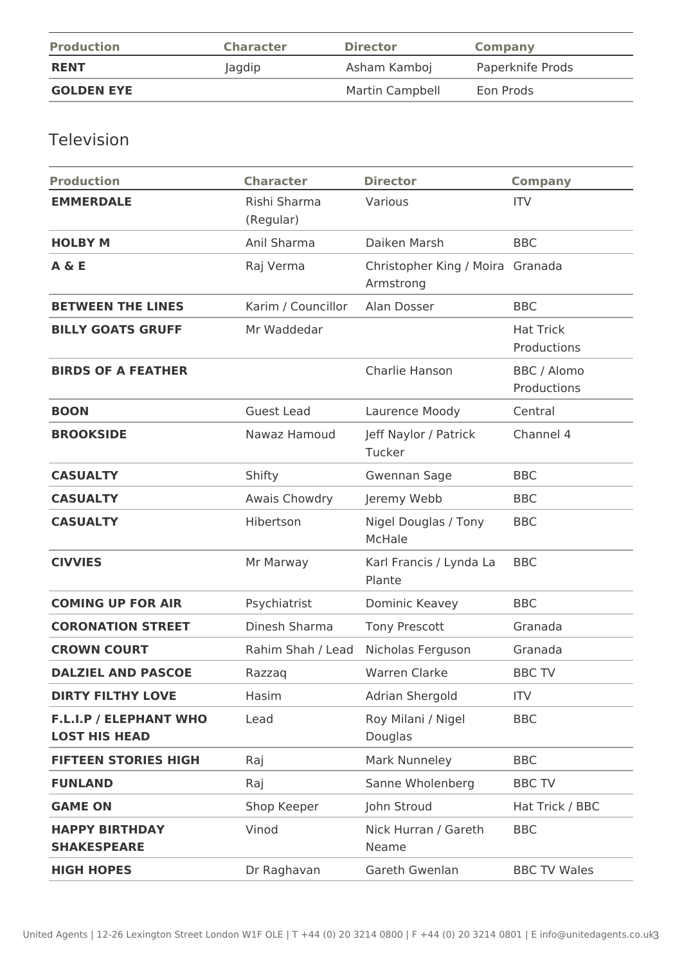| <b>Production</b> | <b>Character</b> | <b>Director</b> | Company          |
|-------------------|------------------|-----------------|------------------|
| <b>RENT</b>       | Jagdip           | Asham Kamboj    | Paperknife Prods |
| <b>GOLDEN EYE</b> |                  | Martin Campbell | Eon Prods        |

# Television

| <b>Production</b>                                     | <b>Character</b>          | <b>Director</b>                               | <b>Company</b>                  |
|-------------------------------------------------------|---------------------------|-----------------------------------------------|---------------------------------|
| <b>EMMERDALE</b>                                      | Rishi Sharma<br>(Regular) | Various                                       | <b>ITV</b>                      |
| <b>HOLBY M</b>                                        | Anil Sharma               | Daiken Marsh                                  | <b>BBC</b>                      |
| A & E                                                 | Raj Verma                 | Christopher King / Moira Granada<br>Armstrong |                                 |
| <b>BETWEEN THE LINES</b>                              | Karim / Councillor        | Alan Dosser                                   | <b>BBC</b>                      |
| <b>BILLY GOATS GRUFF</b>                              | Mr Waddedar               |                                               | <b>Hat Trick</b><br>Productions |
| <b>BIRDS OF A FEATHER</b>                             |                           | Charlie Hanson                                | BBC / Alomo<br>Productions      |
| <b>BOON</b>                                           | <b>Guest Lead</b>         | Laurence Moody                                | Central                         |
| <b>BROOKSIDE</b>                                      | Nawaz Hamoud              | Jeff Naylor / Patrick<br>Tucker               | Channel 4                       |
| <b>CASUALTY</b>                                       | Shifty                    | <b>Gwennan Sage</b>                           | <b>BBC</b>                      |
| <b>CASUALTY</b>                                       | Awais Chowdry             | Jeremy Webb                                   | <b>BBC</b>                      |
| <b>CASUALTY</b>                                       | Hibertson                 | Nigel Douglas / Tony<br><b>McHale</b>         | <b>BBC</b>                      |
| <b>CIVVIES</b>                                        | Mr Marway                 | Karl Francis / Lynda La<br>Plante             | <b>BBC</b>                      |
| <b>COMING UP FOR AIR</b>                              | Psychiatrist              | Dominic Keavey                                | <b>BBC</b>                      |
| <b>CORONATION STREET</b>                              | Dinesh Sharma             | <b>Tony Prescott</b>                          | Granada                         |
| <b>CROWN COURT</b>                                    | Rahim Shah / Lead         | Nicholas Ferguson                             | Granada                         |
| <b>DALZIEL AND PASCOE</b>                             | Razzag                    | <b>Warren Clarke</b>                          | <b>BBC TV</b>                   |
| <b>DIRTY FILTHY LOVE</b>                              | Hasim                     | Adrian Shergold                               | <b>ITV</b>                      |
| <b>F.L.I.P / ELEPHANT WHO</b><br><b>LOST HIS HEAD</b> | Lead                      | Roy Milani / Nigel<br>Douglas                 | <b>BBC</b>                      |
| <b>FIFTEEN STORIES HIGH</b>                           | Raj                       | Mark Nunneley                                 | <b>BBC</b>                      |
| <b>FUNLAND</b>                                        | Raj                       | Sanne Wholenberg                              | <b>BBC TV</b>                   |
| <b>GAME ON</b>                                        | Shop Keeper               | John Stroud                                   | Hat Trick / BBC                 |
| <b>HAPPY BIRTHDAY</b><br><b>SHAKESPEARE</b>           | Vinod                     | Nick Hurran / Gareth<br>Neame                 | <b>BBC</b>                      |
| <b>HIGH HOPES</b>                                     | Dr Raghavan               | Gareth Gwenlan                                | <b>BBC TV Wales</b>             |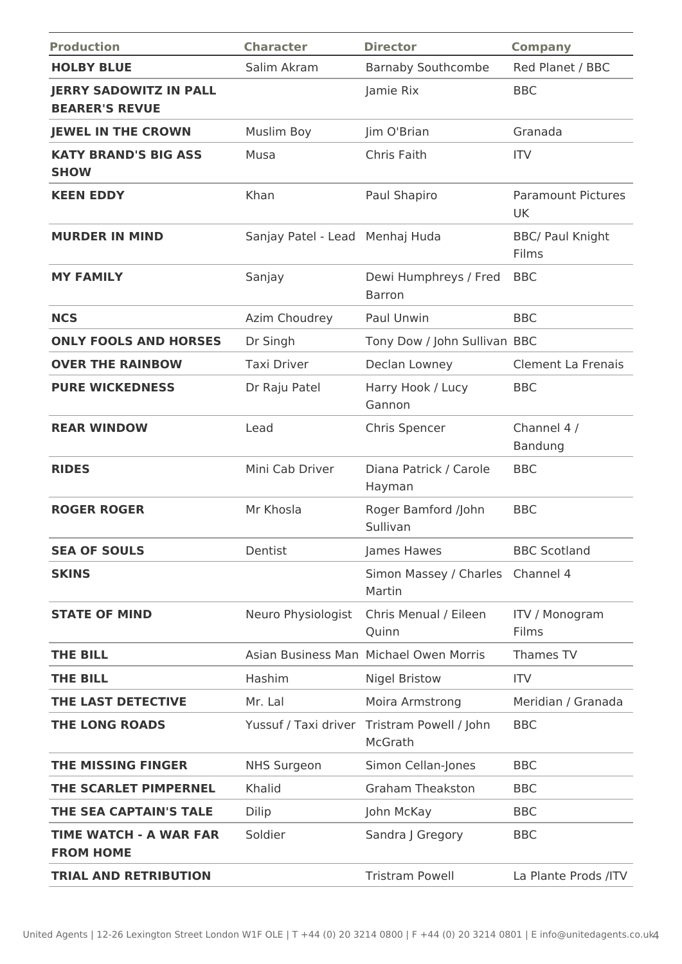| <b>Production</b>                                      | <b>Character</b>                | <b>Director</b>                                        | <b>Company</b>                   |
|--------------------------------------------------------|---------------------------------|--------------------------------------------------------|----------------------------------|
| <b>HOLBY BLUE</b>                                      | Salim Akram                     | <b>Barnaby Southcombe</b>                              | Red Planet / BBC                 |
| <b>JERRY SADOWITZ IN PALL</b><br><b>BEARER'S REVUE</b> |                                 | Jamie Rix                                              | <b>BBC</b>                       |
| <b>JEWEL IN THE CROWN</b>                              | <b>Muslim Boy</b>               | Jim O'Brian                                            | Granada                          |
| <b>KATY BRAND'S BIG ASS</b><br><b>SHOW</b>             | Musa                            | Chris Faith                                            | <b>ITV</b>                       |
| <b>KEEN EDDY</b>                                       | Khan                            | Paul Shapiro                                           | <b>Paramount Pictures</b><br>UK  |
| <b>MURDER IN MIND</b>                                  | Sanjay Patel - Lead Menhaj Huda |                                                        | <b>BBC/ Paul Knight</b><br>Films |
| <b>MY FAMILY</b>                                       | Sanjay                          | Dewi Humphreys / Fred<br><b>Barron</b>                 | <b>BBC</b>                       |
| <b>NCS</b>                                             | Azim Choudrey                   | Paul Unwin                                             | <b>BBC</b>                       |
| <b>ONLY FOOLS AND HORSES</b>                           | Dr Singh                        | Tony Dow / John Sullivan BBC                           |                                  |
| <b>OVER THE RAINBOW</b>                                | <b>Taxi Driver</b>              | Declan Lowney                                          | <b>Clement La Frenais</b>        |
| <b>PURE WICKEDNESS</b>                                 | Dr Raju Patel                   | Harry Hook / Lucy<br>Gannon                            | <b>BBC</b>                       |
| <b>REAR WINDOW</b>                                     | Lead                            | Chris Spencer                                          | Channel 4 /<br>Bandung           |
| <b>RIDES</b>                                           | Mini Cab Driver                 | Diana Patrick / Carole<br>Hayman                       | <b>BBC</b>                       |
| <b>ROGER ROGER</b>                                     | Mr Khosla                       | Roger Bamford /John<br>Sullivan                        | <b>BBC</b>                       |
| <b>SEA OF SOULS</b>                                    | Dentist                         | James Hawes                                            | <b>BBC Scotland</b>              |
| <b>SKINS</b>                                           |                                 | Simon Massey / Charles<br>Martin                       | Channel 4                        |
| <b>STATE OF MIND</b>                                   | Neuro Physiologist              | Chris Menual / Eileen<br>Quinn                         | <b>ITV / Monogram</b><br>Films   |
| <b>THE BILL</b>                                        |                                 | Asian Business Man Michael Owen Morris                 | Thames TV                        |
| <b>THE BILL</b>                                        | Hashim                          | <b>Nigel Bristow</b>                                   | <b>ITV</b>                       |
| THE LAST DETECTIVE                                     | Mr. Lal                         | Moira Armstrong                                        | Meridian / Granada               |
| <b>THE LONG ROADS</b>                                  |                                 | Yussuf / Taxi driver Tristram Powell / John<br>McGrath | <b>BBC</b>                       |
| <b>THE MISSING FINGER</b>                              | <b>NHS Surgeon</b>              | Simon Cellan-Jones                                     | <b>BBC</b>                       |
| THE SCARLET PIMPERNEL                                  | Khalid                          | <b>Graham Theakston</b>                                | <b>BBC</b>                       |
| THE SEA CAPTAIN'S TALE                                 | Dilip                           | John McKay                                             | <b>BBC</b>                       |
| <b>TIME WATCH - A WAR FAR</b><br><b>FROM HOME</b>      | Soldier                         | Sandra J Gregory                                       | <b>BBC</b>                       |
| <b>TRIAL AND RETRIBUTION</b>                           |                                 | <b>Tristram Powell</b>                                 | La Plante Prods /ITV             |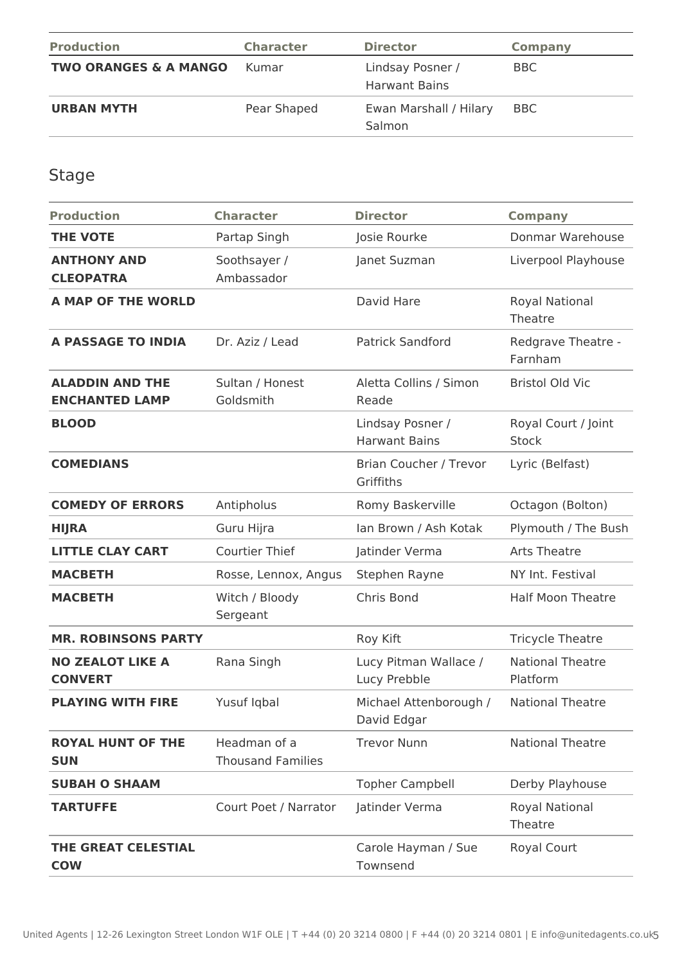| <b>Production</b>                | <b>Character</b> | <b>Director</b>                          | <b>Company</b> |
|----------------------------------|------------------|------------------------------------------|----------------|
| <b>TWO ORANGES &amp; A MANGO</b> | Kumar            | Lindsay Posner /<br><b>Harwant Bains</b> | <b>BBC</b>     |
| <b>URBAN MYTH</b>                | Pear Shaped      | Ewan Marshall / Hilary<br>Salmon         | <b>BBC</b>     |

Stage

| <b>Production</b>                               | <b>Character</b>                         | <b>Director</b>                          | <b>Company</b>                      |
|-------------------------------------------------|------------------------------------------|------------------------------------------|-------------------------------------|
| <b>THE VOTE</b>                                 | Partap Singh                             | Josie Rourke                             | Donmar Warehouse                    |
| <b>ANTHONY AND</b><br><b>CLEOPATRA</b>          | Soothsayer /<br>Ambassador               | Janet Suzman                             | Liverpool Playhouse                 |
| <b>A MAP OF THE WORLD</b>                       |                                          | David Hare                               | Royal National<br>Theatre           |
| <b>A PASSAGE TO INDIA</b>                       | Dr. Aziz / Lead                          | <b>Patrick Sandford</b>                  | Redgrave Theatre -<br>Farnham       |
| <b>ALADDIN AND THE</b><br><b>ENCHANTED LAMP</b> | Sultan / Honest<br>Goldsmith             | Aletta Collins / Simon<br>Reade          | <b>Bristol Old Vic</b>              |
| <b>BLOOD</b>                                    |                                          | Lindsay Posner /<br><b>Harwant Bains</b> | Royal Court / Joint<br><b>Stock</b> |
| <b>COMEDIANS</b>                                |                                          | Brian Coucher / Trevor<br>Griffiths      | Lyric (Belfast)                     |
| <b>COMEDY OF ERRORS</b>                         | Antipholus                               | Romy Baskerville                         | Octagon (Bolton)                    |
| <b>HIJRA</b>                                    | Guru Hijra                               | Ian Brown / Ash Kotak                    | Plymouth / The Bush                 |
| <b>LITTLE CLAY CART</b>                         | <b>Courtier Thief</b>                    | Jatinder Verma                           | <b>Arts Theatre</b>                 |
| <b>MACBETH</b>                                  | Rosse, Lennox, Angus                     | Stephen Rayne                            | NY Int. Festival                    |
| <b>MACBETH</b>                                  | Witch / Bloody<br>Sergeant               | Chris Bond                               | <b>Half Moon Theatre</b>            |
| <b>MR. ROBINSONS PARTY</b>                      |                                          | Roy Kift                                 | <b>Tricycle Theatre</b>             |
| <b>NO ZEALOT LIKE A</b><br><b>CONVERT</b>       | Rana Singh                               | Lucy Pitman Wallace /<br>Lucy Prebble    | <b>National Theatre</b><br>Platform |
| <b>PLAYING WITH FIRE</b>                        | Yusuf Iqbal                              | Michael Attenborough /<br>David Edgar    | <b>National Theatre</b>             |
| <b>ROYAL HUNT OF THE</b><br><b>SUN</b>          | Headman of a<br><b>Thousand Families</b> | <b>Trevor Nunn</b>                       | <b>National Theatre</b>             |
| <b>SUBAH O SHAAM</b>                            |                                          | <b>Topher Campbell</b>                   | Derby Playhouse                     |
| <b>TARTUFFE</b>                                 | Court Poet / Narrator                    | Jatinder Verma                           | Royal National<br>Theatre           |
| THE GREAT CELESTIAL<br><b>COW</b>               |                                          | Carole Hayman / Sue<br>Townsend          | Royal Court                         |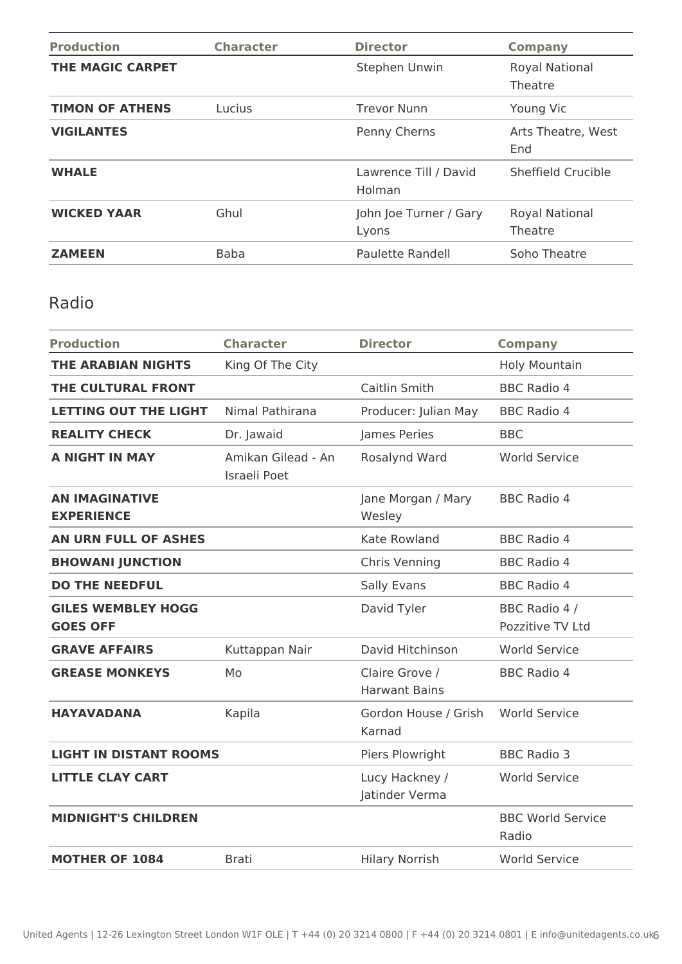| <b>Production</b>       | <b>Character</b> | <b>Director</b>                 | <b>Company</b>            |
|-------------------------|------------------|---------------------------------|---------------------------|
| <b>THE MAGIC CARPET</b> |                  | Stephen Unwin                   | Royal National<br>Theatre |
| <b>TIMON OF ATHENS</b>  | <b>Lucius</b>    | <b>Trevor Nunn</b>              | Young Vic                 |
| <b>VIGILANTES</b>       |                  | Penny Cherns                    | Arts Theatre, West<br>End |
| <b>WHALE</b>            |                  | Lawrence Till / David<br>Holman | Sheffield Crucible        |
| <b>WICKED YAAR</b>      | Ghul             | John Joe Turner / Gary<br>Lyons | Royal National<br>Theatre |
| <b>ZAMEEN</b>           | <b>Baba</b>      | Paulette Randell                | Soho Theatre              |

## Radio

| <b>Production</b>                            | <b>Character</b>                   | <b>Director</b>                        | <b>Company</b>                    |
|----------------------------------------------|------------------------------------|----------------------------------------|-----------------------------------|
| <b>THE ARABIAN NIGHTS</b>                    | King Of The City                   |                                        | <b>Holy Mountain</b>              |
| THE CULTURAL FRONT                           |                                    | Caitlin Smith                          | <b>BBC Radio 4</b>                |
| <b>LETTING OUT THE LIGHT</b>                 | Nimal Pathirana                    | Producer: Julian May                   | <b>BBC Radio 4</b>                |
| <b>REALITY CHECK</b>                         | Dr. Jawaid                         | James Peries                           | <b>BBC</b>                        |
| <b>A NIGHT IN MAY</b>                        | Amikan Gilead - An<br>Israeli Poet | Rosalynd Ward                          | <b>World Service</b>              |
| <b>AN IMAGINATIVE</b><br><b>EXPERIENCE</b>   |                                    | Jane Morgan / Mary<br>Wesley           | <b>BBC Radio 4</b>                |
| <b>AN URN FULL OF ASHES</b>                  |                                    | Kate Rowland                           | <b>BBC Radio 4</b>                |
| <b>BHOWANI JUNCTION</b>                      |                                    | Chris Venning                          | <b>BBC Radio 4</b>                |
| <b>DO THE NEEDFUL</b>                        |                                    | Sally Evans                            | <b>BBC Radio 4</b>                |
| <b>GILES WEMBLEY HOGG</b><br><b>GOES OFF</b> |                                    | David Tyler                            | BBC Radio 4 /<br>Pozzitive TV Ltd |
| <b>GRAVE AFFAIRS</b>                         | Kuttappan Nair                     | David Hitchinson                       | <b>World Service</b>              |
| <b>GREASE MONKEYS</b>                        | Mo                                 | Claire Grove /<br><b>Harwant Bains</b> | <b>BBC Radio 4</b>                |
| <b>HAYAVADANA</b>                            | Kapila                             | Gordon House / Grish<br>Karnad         | <b>World Service</b>              |
| <b>LIGHT IN DISTANT ROOMS</b>                |                                    | Piers Plowright                        | <b>BBC Radio 3</b>                |
| <b>LITTLE CLAY CART</b>                      |                                    | Lucy Hackney /<br>Jatinder Verma       | <b>World Service</b>              |
| <b>MIDNIGHT'S CHILDREN</b>                   |                                    |                                        | <b>BBC World Service</b><br>Radio |
| <b>MOTHER OF 1084</b>                        | <b>Brati</b>                       | <b>Hilary Norrish</b>                  | <b>World Service</b>              |
|                                              |                                    |                                        |                                   |